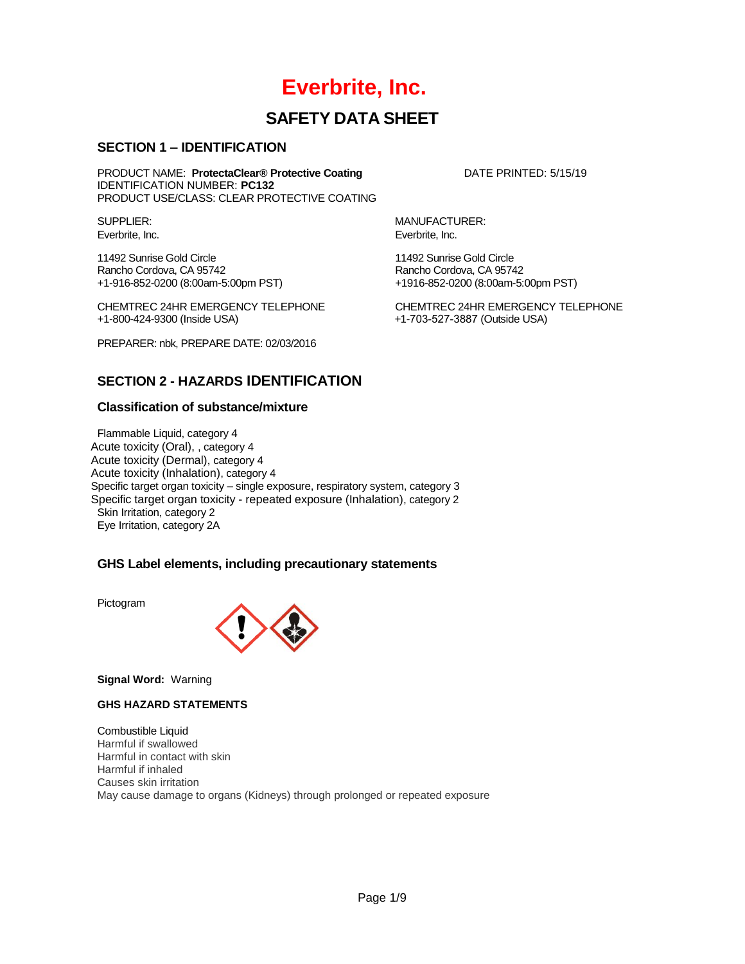# **Everbrite, Inc.**

# **SAFETY DATA SHEET**

## **SECTION 1 – IDENTIFICATION**

PRODUCT NAME: **ProtectaClear® Protective Coating <b>DATE PRINTED:** 5/15/19 IDENTIFICATION NUMBER: **PC132** PRODUCT USE/CLASS: CLEAR PROTECTIVE COATING

Everbrite, Inc. **Everbrite**, Inc.

11492 Sunrise Gold Circle 11492 Sunrise Gold Circle +1-916-852-0200 (8:00am-5:00pm PST) +1916-852-0200 (8:00am-5:00pm PST)

CHEMTREC 24HR EMERGENCY TELEPHONE CHEMTREC 24HR EMERGENCY TELEPHONE

PREPARER: nbk, PREPARE DATE: 02/03/2016

SUPPLIER: MANUFACTURER:

Rancho Cordova, CA 95742

+1-800-424-9300 (Inside USA) +1-703-527-3887 (Outside USA)

## **SECTION 2 - HAZARDS IDENTIFICATION**

## **Classification of substance/mixture**

Flammable Liquid, category 4 Acute toxicity (Oral), , category 4 Acute toxicity (Dermal), category 4 Acute toxicity (Inhalation), category 4 Specific target organ toxicity – single exposure, respiratory system, category 3 Specific target organ toxicity - repeated exposure (Inhalation), category 2 Skin Irritation, category 2 Eye Irritation, category 2A

## **GHS Label elements, including precautionary statements**

Pictogram



**Signal Word:** Warning

### **GHS HAZARD STATEMENTS**

Combustible Liquid Harmful if swallowed Harmful in contact with skin Harmful if inhaled Causes skin irritation May cause damage to organs (Kidneys) through prolonged or repeated exposure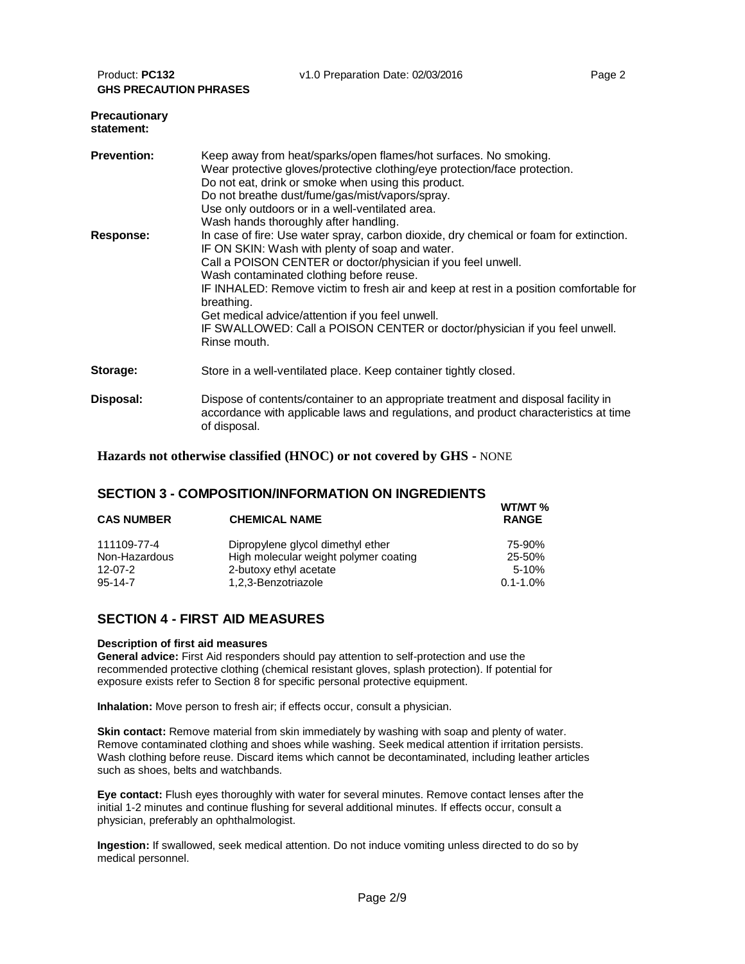| Product: PC132<br>v1.0 Preparation Date: 02/03/2016<br>Page 2<br><b>GHS PRECAUTION PHRASES</b> |                                                                                                                                                                                                                                                                                                                                                                                                                                                                                                                |  |  |  |  |
|------------------------------------------------------------------------------------------------|----------------------------------------------------------------------------------------------------------------------------------------------------------------------------------------------------------------------------------------------------------------------------------------------------------------------------------------------------------------------------------------------------------------------------------------------------------------------------------------------------------------|--|--|--|--|
| <b>Precautionary</b><br>statement:                                                             |                                                                                                                                                                                                                                                                                                                                                                                                                                                                                                                |  |  |  |  |
| <b>Prevention:</b>                                                                             | Keep away from heat/sparks/open flames/hot surfaces. No smoking.<br>Wear protective gloves/protective clothing/eye protection/face protection.<br>Do not eat, drink or smoke when using this product.<br>Do not breathe dust/fume/gas/mist/vapors/spray.<br>Use only outdoors or in a well-ventilated area.<br>Wash hands thoroughly after handling.                                                                                                                                                           |  |  |  |  |
| Response:                                                                                      | In case of fire: Use water spray, carbon dioxide, dry chemical or foam for extinction.<br>IF ON SKIN: Wash with plenty of soap and water.<br>Call a POISON CENTER or doctor/physician if you feel unwell.<br>Wash contaminated clothing before reuse.<br>IF INHALED: Remove victim to fresh air and keep at rest in a position comfortable for<br>breathing.<br>Get medical advice/attention if you feel unwell.<br>IF SWALLOWED: Call a POISON CENTER or doctor/physician if you feel unwell.<br>Rinse mouth. |  |  |  |  |
| Storage:                                                                                       | Store in a well-ventilated place. Keep container tightly closed.                                                                                                                                                                                                                                                                                                                                                                                                                                               |  |  |  |  |
| Disposal:                                                                                      | Dispose of contents/container to an appropriate treatment and disposal facility in<br>accordance with applicable laws and regulations, and product characteristics at time<br>of disposal.                                                                                                                                                                                                                                                                                                                     |  |  |  |  |

**Hazards not otherwise classified (HNOC) or not covered by GHS -** NONE

## **SECTION 3 - COMPOSITION/INFORMATION ON INGREDIENTS**

| <b>CAS NUMBER</b> | <b>CHEMICAL NAME</b>                  | ,,,,,,, ,,,<br><b>RANGE</b> |
|-------------------|---------------------------------------|-----------------------------|
| 111109-77-4       | Dipropylene glycol dimethyl ether     | 75-90%                      |
| Non-Hazardous     | High molecular weight polymer coating | 25-50%                      |
| $12 - 07 - 2$     | 2-butoxy ethyl acetate                | $5 - 10%$                   |
| $95 - 14 - 7$     | 1,2,3-Benzotriazole                   | $0.1 - 1.0\%$               |

**WT/WT %**

## **SECTION 4 - FIRST AID MEASURES**

#### **Description of first aid measures**

**General advice:** First Aid responders should pay attention to self-protection and use the recommended protective clothing (chemical resistant gloves, splash protection). If potential for exposure exists refer to Section 8 for specific personal protective equipment.

**Inhalation:** Move person to fresh air; if effects occur, consult a physician.

**Skin contact:** Remove material from skin immediately by washing with soap and plenty of water. Remove contaminated clothing and shoes while washing. Seek medical attention if irritation persists. Wash clothing before reuse. Discard items which cannot be decontaminated, including leather articles such as shoes, belts and watchbands.

**Eye contact:** Flush eyes thoroughly with water for several minutes. Remove contact lenses after the initial 1-2 minutes and continue flushing for several additional minutes. If effects occur, consult a physician, preferably an ophthalmologist.

**Ingestion:** If swallowed, seek medical attention. Do not induce vomiting unless directed to do so by medical personnel.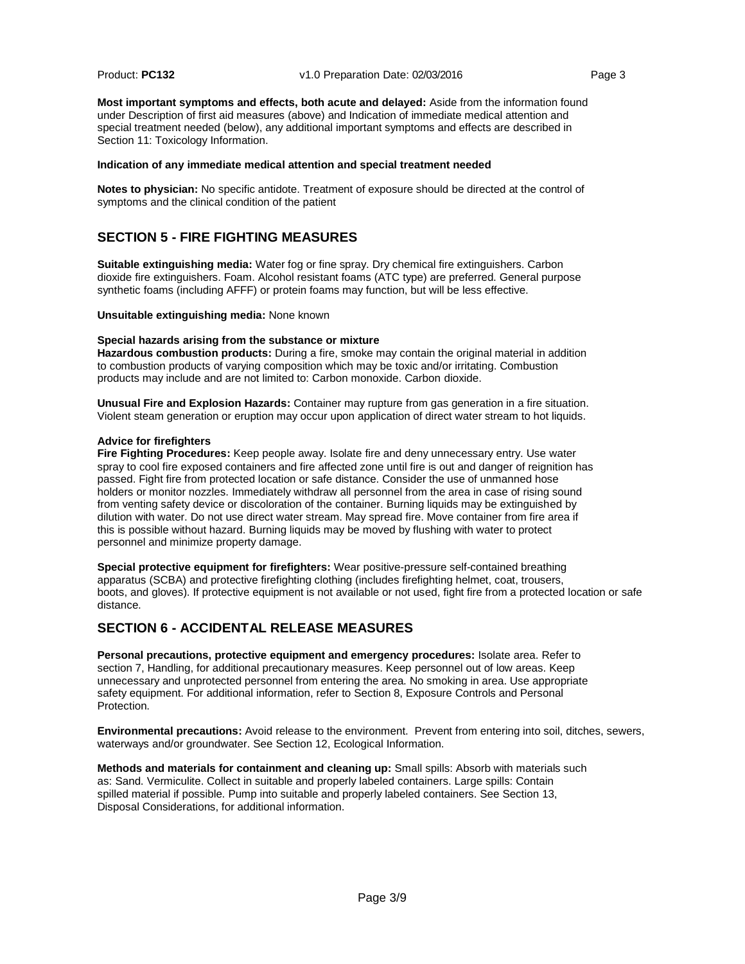**Most important symptoms and effects, both acute and delayed:** Aside from the information found under Description of first aid measures (above) and Indication of immediate medical attention and special treatment needed (below), any additional important symptoms and effects are described in Section 11: Toxicology Information.

#### **Indication of any immediate medical attention and special treatment needed**

**Notes to physician:** No specific antidote. Treatment of exposure should be directed at the control of symptoms and the clinical condition of the patient

## **SECTION 5 - FIRE FIGHTING MEASURES**

**Suitable extinguishing media:** Water fog or fine spray. Dry chemical fire extinguishers. Carbon dioxide fire extinguishers. Foam. Alcohol resistant foams (ATC type) are preferred. General purpose synthetic foams (including AFFF) or protein foams may function, but will be less effective.

**Unsuitable extinguishing media:** None known

#### **Special hazards arising from the substance or mixture**

**Hazardous combustion products:** During a fire, smoke may contain the original material in addition to combustion products of varying composition which may be toxic and/or irritating. Combustion products may include and are not limited to: Carbon monoxide. Carbon dioxide.

**Unusual Fire and Explosion Hazards:** Container may rupture from gas generation in a fire situation. Violent steam generation or eruption may occur upon application of direct water stream to hot liquids.

#### **Advice for firefighters**

**Fire Fighting Procedures:** Keep people away. Isolate fire and deny unnecessary entry. Use water spray to cool fire exposed containers and fire affected zone until fire is out and danger of reignition has passed. Fight fire from protected location or safe distance. Consider the use of unmanned hose holders or monitor nozzles. Immediately withdraw all personnel from the area in case of rising sound from venting safety device or discoloration of the container. Burning liquids may be extinguished by dilution with water. Do not use direct water stream. May spread fire. Move container from fire area if this is possible without hazard. Burning liquids may be moved by flushing with water to protect personnel and minimize property damage.

**Special protective equipment for firefighters:** Wear positive-pressure self-contained breathing apparatus (SCBA) and protective firefighting clothing (includes firefighting helmet, coat, trousers, boots, and gloves). If protective equipment is not available or not used, fight fire from a protected location or safe distance.

## **SECTION 6 - ACCIDENTAL RELEASE MEASURES**

**Personal precautions, protective equipment and emergency procedures:** Isolate area. Refer to section 7, Handling, for additional precautionary measures. Keep personnel out of low areas. Keep unnecessary and unprotected personnel from entering the area. No smoking in area. Use appropriate safety equipment. For additional information, refer to Section 8, Exposure Controls and Personal Protection.

**Environmental precautions:** Avoid release to the environment.Prevent from entering into soil, ditches, sewers, waterways and/or groundwater. See Section 12, Ecological Information.

**Methods and materials for containment and cleaning up:** Small spills: Absorb with materials such as: Sand. Vermiculite. Collect in suitable and properly labeled containers. Large spills: Contain spilled material if possible. Pump into suitable and properly labeled containers. See Section 13, Disposal Considerations, for additional information.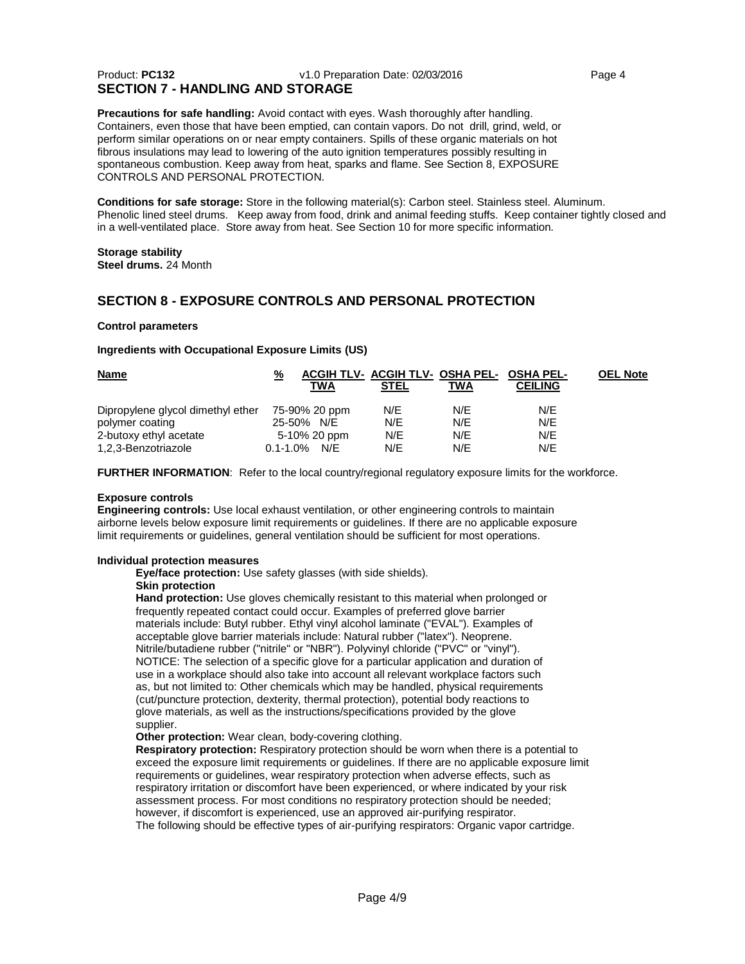### Product: **PC132** v1.0 Preparation Date: 02/03/2016 Page 4 **SECTION 7 - HANDLING AND STORAGE**

**Precautions for safe handling:** Avoid contact with eyes. Wash thoroughly after handling. Containers, even those that have been emptied, can contain vapors. Do not drill, grind, weld, or perform similar operations on or near empty containers. Spills of these organic materials on hot fibrous insulations may lead to lowering of the auto ignition temperatures possibly resulting in spontaneous combustion. Keep away from heat, sparks and flame. See Section 8, EXPOSURE CONTROLS AND PERSONAL PROTECTION.

**Conditions for safe storage:** Store in the following material(s): Carbon steel. Stainless steel. Aluminum. Phenolic lined steel drums. Keep away from food, drink and animal feeding stuffs. Keep container tightly closed and in a well-ventilated place. Store away from heat. See Section 10 for more specific information.

## **Storage stability**

**Steel drums.** 24 Month

## **SECTION 8 - EXPOSURE CONTROLS AND PERSONAL PROTECTION**

#### **Control parameters**

### **Ingredients with Occupational Exposure Limits (US)**

| <b>Name</b>                       | % |                   | ACGIH TLV- ACGIH TLV- OSHA PEL- OSHA PEL- |     |                | <b>OEL Note</b> |
|-----------------------------------|---|-------------------|-------------------------------------------|-----|----------------|-----------------|
|                                   |   | TWA               | <b>STEL</b>                               | TWA | <b>CEILING</b> |                 |
| Dipropylene glycol dimethyl ether |   | 75-90% 20 ppm     | N/E                                       | N/E | N/F            |                 |
| polymer coating                   |   | 25-50% N/E        | N/E                                       | N/E | N/E            |                 |
| 2-butoxy ethyl acetate            |   | 5-10% 20 ppm      | N/E                                       | N/E | N/E            |                 |
| 1,2,3-Benzotriazole               |   | $0.1 - 1.0\%$ N/E | N/F                                       | N/E | N/E            |                 |

**FURTHER INFORMATION**: Refer to the local country/regional regulatory exposure limits for the workforce.

### **Exposure controls**

**Engineering controls:** Use local exhaust ventilation, or other engineering controls to maintain airborne levels below exposure limit requirements or guidelines. If there are no applicable exposure limit requirements or guidelines, general ventilation should be sufficient for most operations.

#### **Individual protection measures**

**Eye/face protection:** Use safety glasses (with side shields). **Skin protection**

**Hand protection:** Use gloves chemically resistant to this material when prolonged or frequently repeated contact could occur. Examples of preferred glove barrier materials include: Butyl rubber. Ethyl vinyl alcohol laminate ("EVAL"). Examples of acceptable glove barrier materials include: Natural rubber ("latex"). Neoprene. Nitrile/butadiene rubber ("nitrile" or "NBR"). Polyvinyl chloride ("PVC" or "vinyl"). NOTICE: The selection of a specific glove for a particular application and duration of use in a workplace should also take into account all relevant workplace factors such as, but not limited to: Other chemicals which may be handled, physical requirements (cut/puncture protection, dexterity, thermal protection), potential body reactions to glove materials, as well as the instructions/specifications provided by the glove supplier.

**Other protection:** Wear clean, body-covering clothing.

**Respiratory protection:** Respiratory protection should be worn when there is a potential to exceed the exposure limit requirements or guidelines. If there are no applicable exposure limit requirements or guidelines, wear respiratory protection when adverse effects, such as respiratory irritation or discomfort have been experienced, or where indicated by your risk assessment process. For most conditions no respiratory protection should be needed; however, if discomfort is experienced, use an approved air-purifying respirator. The following should be effective types of air-purifying respirators: Organic vapor cartridge.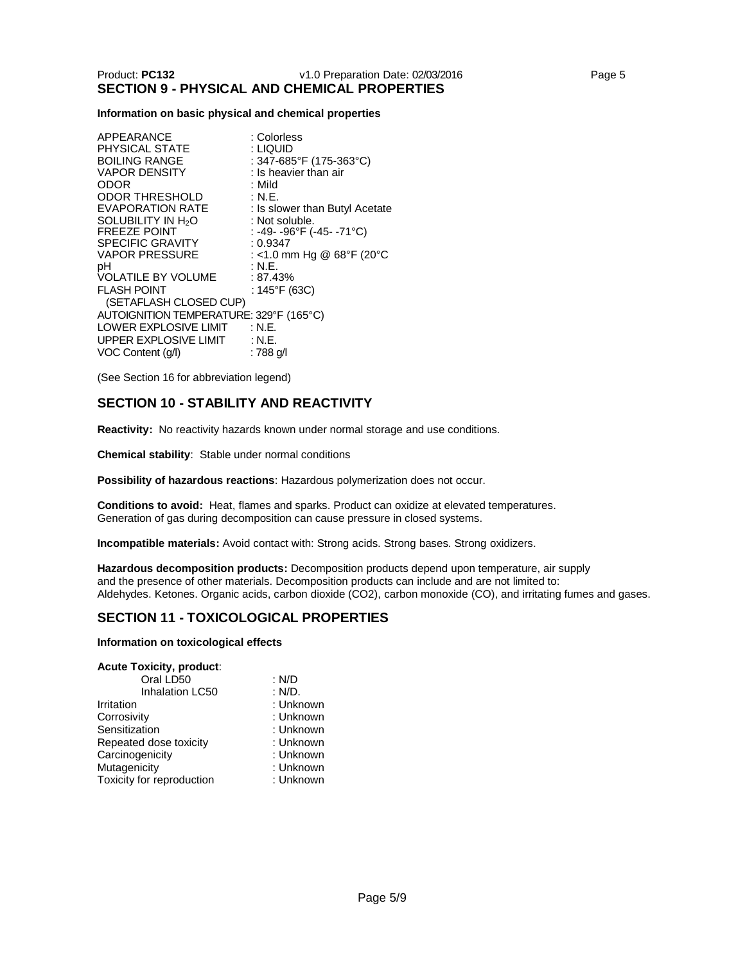## **Information on basic physical and chemical properties**

| APPEARANCE                              | : Colorless                    |
|-----------------------------------------|--------------------------------|
| PHYSICAL STATE                          | : Liquid                       |
| <b>BOILING RANGE</b>                    | : 347-685°F (175-363°C)        |
| <b>VAPOR DENSITY</b>                    | : Is heavier than air          |
| ODOR                                    | : Mild                         |
| <b>ODOR THRESHOLD</b>                   | : N.E.                         |
| <b>EVAPORATION RATE</b>                 | : Is slower than Butyl Acetate |
| SOLUBILITY IN H <sub>2</sub> O          | : Not soluble.                 |
| <b>FREEZE POINT</b>                     | : -49- -96°F (-45- -71°C)      |
| <b>SPECIFIC GRAVITY</b>                 | : 0.9347                       |
| <b>VAPOR PRESSURE</b>                   | : <1.0 mm Hg @ 68°F (20°C      |
| рH                                      | : N.E.                         |
| <b>VOLATILE BY VOLUME</b>               | : 87.43%                       |
| <b>FLASH POINT</b>                      | : 145°F (63C)                  |
| (SETAFLASH CLOSED CUP)                  |                                |
| AUTOIGNITION TEMPERATURE: 329°F (165°C) |                                |
| LOWER EXPLOSIVE LIMIT                   | : N.E.                         |
| UPPER EXPLOSIVE LIMIT                   | : N.E.                         |
| VOC Content (q/l)                       | : 788 g/l                      |

(See Section 16 for abbreviation legend)

## **SECTION 10 - STABILITY AND REACTIVITY**

**Reactivity:** No reactivity hazards known under normal storage and use conditions.

**Chemical stability**: Stable under normal conditions

**Possibility of hazardous reactions**: Hazardous polymerization does not occur.

**Conditions to avoid:** Heat, flames and sparks. Product can oxidize at elevated temperatures. Generation of gas during decomposition can cause pressure in closed systems.

**Incompatible materials:** Avoid contact with: Strong acids. Strong bases. Strong oxidizers.

**Hazardous decomposition products:** Decomposition products depend upon temperature, air supply and the presence of other materials. Decomposition products can include and are not limited to: Aldehydes. Ketones. Organic acids, carbon dioxide (CO2), carbon monoxide (CO), and irritating fumes and gases.

## **SECTION 11 - TOXICOLOGICAL PROPERTIES**

#### **Information on toxicological effects**

| <b>Acute Toxicity, product:</b> |           |
|---------------------------------|-----------|
| Oral LD50                       | : N/D     |
| <b>Inhalation LC50</b>          | : N/D.    |
| Irritation                      | : Unknown |
| Corrosivity                     | : Unknown |
| Sensitization                   | : Unknown |
| Repeated dose toxicity          | : Unknown |
| Carcinogenicity                 | : Unknown |
| Mutagenicity                    | : Unknown |
| Toxicity for reproduction       | : Unknown |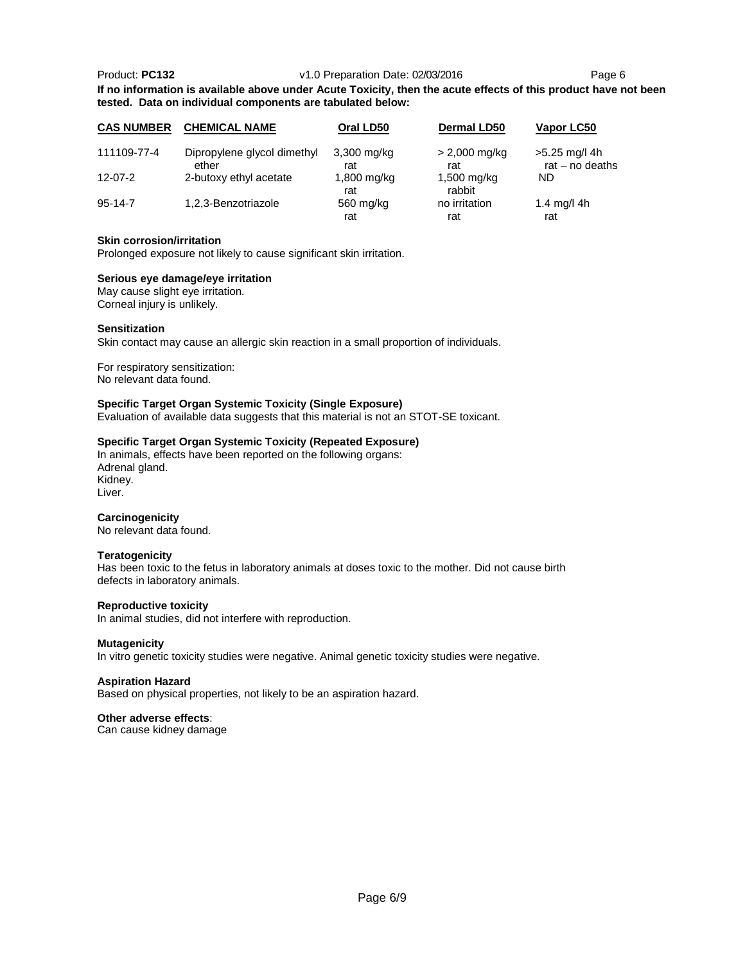#### Product: **PC132** v1.0 Preparation Date: 02/03/2016 Page 6

**If no information is available above under Acute Toxicity, then the acute effects of this product have not been tested. Data on individual components are tabulated below:**

| <b>CAS NUMBER</b> | <b>CHEMICAL NAME</b>                 | Oral LD50            | <b>Dermal LD50</b>               | Vapor LC50                         |
|-------------------|--------------------------------------|----------------------|----------------------------------|------------------------------------|
| 111109-77-4       | Dipropylene glycol dimethyl<br>ether | $3,300$ mg/kg<br>rat | $> 2,000 \; \text{mg/kg}$<br>rat | >5.25 mg/l 4h<br>rat $-$ no deaths |
| $12 - 07 - 2$     | 2-butoxy ethyl acetate               | 1,800 mg/kg<br>rat   | $1,500$ mg/kg<br>rabbit          | ND                                 |
| $95 - 14 - 7$     | 1,2,3-Benzotriazole                  | 560 mg/kg<br>rat     | no irritation<br>rat             | 1.4 mg/l 4h<br>rat                 |

#### **Skin corrosion/irritation**

Prolonged exposure not likely to cause significant skin irritation.

#### **Serious eye damage/eye irritation**

May cause slight eye irritation. Corneal injury is unlikely.

#### **Sensitization**

Skin contact may cause an allergic skin reaction in a small proportion of individuals.

For respiratory sensitization: No relevant data found.

#### **Specific Target Organ Systemic Toxicity (Single Exposure)**

Evaluation of available data suggests that this material is not an STOT-SE toxicant.

#### **Specific Target Organ Systemic Toxicity (Repeated Exposure)**

In animals, effects have been reported on the following organs: Adrenal gland. Kidney.

Liver.

#### **Carcinogenicity**

No relevant data found.

#### **Teratogenicity**

Has been toxic to the fetus in laboratory animals at doses toxic to the mother. Did not cause birth defects in laboratory animals.

#### **Reproductive toxicity**

In animal studies, did not interfere with reproduction.

#### **Mutagenicity**

In vitro genetic toxicity studies were negative. Animal genetic toxicity studies were negative.

#### **Aspiration Hazard**

Based on physical properties, not likely to be an aspiration hazard.

#### **Other adverse effects**:

Can cause kidney damage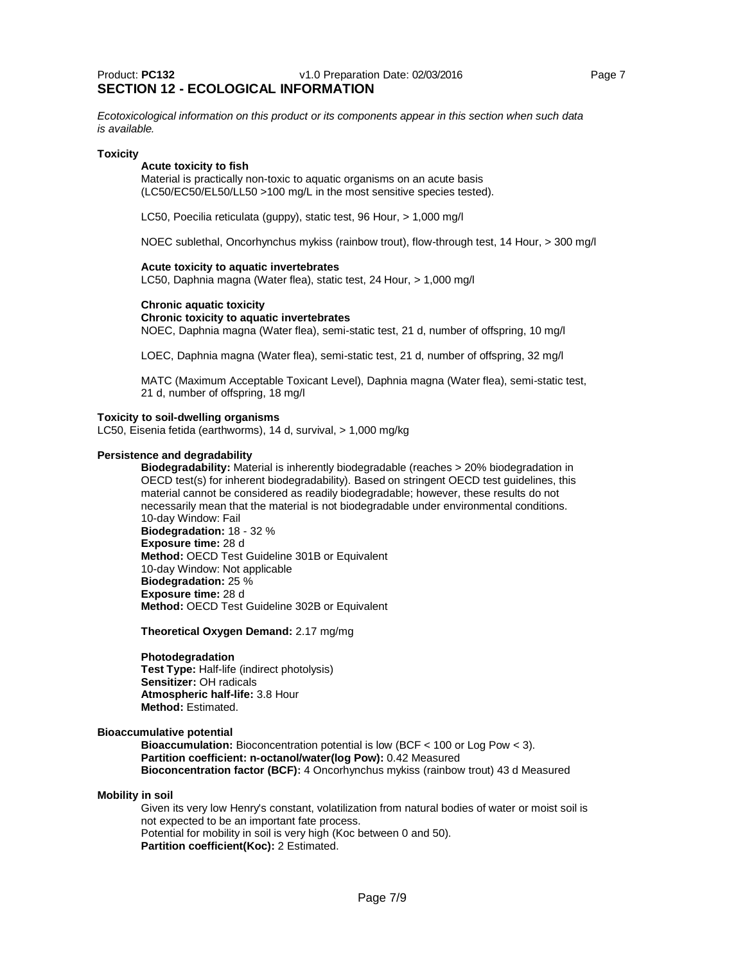*Ecotoxicological information on this product or its components appear in this section when such data is available.*

#### **Toxicity**

#### **Acute toxicity to fish**

Material is practically non-toxic to aquatic organisms on an acute basis (LC50/EC50/EL50/LL50 >100 mg/L in the most sensitive species tested).

LC50, Poecilia reticulata (guppy), static test, 96 Hour, > 1,000 mg/l

NOEC sublethal, Oncorhynchus mykiss (rainbow trout), flow-through test, 14 Hour, > 300 mg/l

#### **Acute toxicity to aquatic invertebrates**

LC50, Daphnia magna (Water flea), static test, 24 Hour, > 1,000 mg/l

#### **Chronic aquatic toxicity**

#### **Chronic toxicity to aquatic invertebrates**

NOEC, Daphnia magna (Water flea), semi-static test, 21 d, number of offspring, 10 mg/l

LOEC, Daphnia magna (Water flea), semi-static test, 21 d, number of offspring, 32 mg/l

MATC (Maximum Acceptable Toxicant Level), Daphnia magna (Water flea), semi-static test, 21 d, number of offspring, 18 mg/l

#### **Toxicity to soil-dwelling organisms**

LC50, Eisenia fetida (earthworms), 14 d, survival, > 1,000 mg/kg

#### **Persistence and degradability**

**Biodegradability:** Material is inherently biodegradable (reaches > 20% biodegradation in OECD test(s) for inherent biodegradability). Based on stringent OECD test guidelines, this material cannot be considered as readily biodegradable; however, these results do not necessarily mean that the material is not biodegradable under environmental conditions. 10-day Window: Fail

**Biodegradation:** 18 - 32 % **Exposure time:** 28 d **Method:** OECD Test Guideline 301B or Equivalent 10-day Window: Not applicable **Biodegradation:** 25 % **Exposure time:** 28 d **Method:** OECD Test Guideline 302B or Equivalent

**Theoretical Oxygen Demand:** 2.17 mg/mg

#### **Photodegradation**

**Test Type:** Half-life (indirect photolysis) **Sensitizer:** OH radicals **Atmospheric half-life:** 3.8 Hour **Method:** Estimated.

#### **Bioaccumulative potential**

**Bioaccumulation:** Bioconcentration potential is low (BCF < 100 or Log Pow < 3). **Partition coefficient: n-octanol/water(log Pow):** 0.42 Measured **Bioconcentration factor (BCF):** 4 Oncorhynchus mykiss (rainbow trout) 43 d Measured

#### **Mobility in soil**

Given its very low Henry's constant, volatilization from natural bodies of water or moist soil is not expected to be an important fate process. Potential for mobility in soil is very high (Koc between 0 and 50). **Partition coefficient(Koc):** 2 Estimated.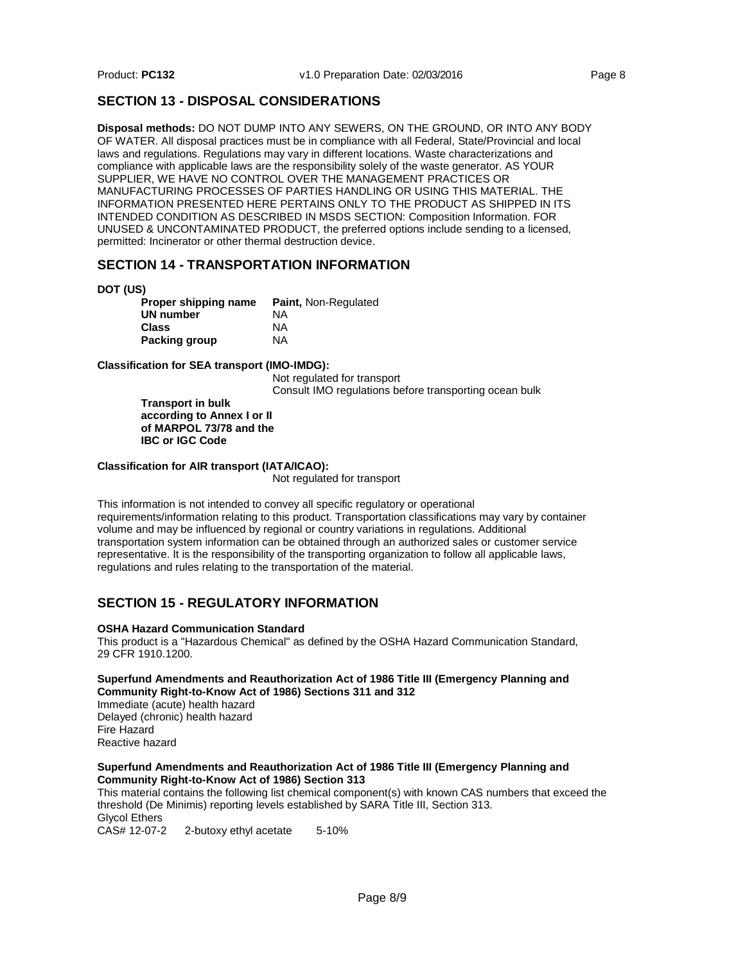## **SECTION 13 - DISPOSAL CONSIDERATIONS**

**Disposal methods:** DO NOT DUMP INTO ANY SEWERS, ON THE GROUND, OR INTO ANY BODY OF WATER. All disposal practices must be in compliance with all Federal, State/Provincial and local laws and regulations. Regulations may vary in different locations. Waste characterizations and compliance with applicable laws are the responsibility solely of the waste generator. AS YOUR SUPPLIER, WE HAVE NO CONTROL OVER THE MANAGEMENT PRACTICES OR MANUFACTURING PROCESSES OF PARTIES HANDLING OR USING THIS MATERIAL. THE INFORMATION PRESENTED HERE PERTAINS ONLY TO THE PRODUCT AS SHIPPED IN ITS INTENDED CONDITION AS DESCRIBED IN MSDS SECTION: Composition Information. FOR UNUSED & UNCONTAMINATED PRODUCT, the preferred options include sending to a licensed, permitted: Incinerator or other thermal destruction device.

## **SECTION 14 - TRANSPORTATION INFORMATION**

**DOT (US)**

| Proper shipping name | <b>Paint, Non-Regulated</b> |
|----------------------|-----------------------------|
| UN number            | ΝA                          |
| Class                | ΝA                          |
| Packing group        | <b>NA</b>                   |

**Classification for SEA transport (IMO-IMDG):**

Not regulated for transport Consult IMO regulations before transporting ocean bulk

**Transport in bulk according to Annex I or II of MARPOL 73/78 and the IBC or IGC Code**

#### **Classification for AIR transport (IATA/ICAO):**

Not regulated for transport

This information is not intended to convey all specific regulatory or operational requirements/information relating to this product. Transportation classifications may vary by container volume and may be influenced by regional or country variations in regulations. Additional transportation system information can be obtained through an authorized sales or customer service representative. It is the responsibility of the transporting organization to follow all applicable laws, regulations and rules relating to the transportation of the material.

## **SECTION 15 - REGULATORY INFORMATION**

#### **OSHA Hazard Communication Standard**

This product is a "Hazardous Chemical" as defined by the OSHA Hazard Communication Standard, 29 CFR 1910.1200.

#### **Superfund Amendments and Reauthorization Act of 1986 Title III (Emergency Planning and Community Right-to-Know Act of 1986) Sections 311 and 312**

Immediate (acute) health hazard Delayed (chronic) health hazard Fire Hazard Reactive hazard

#### **Superfund Amendments and Reauthorization Act of 1986 Title III (Emergency Planning and Community Right-to-Know Act of 1986) Section 313**

This material contains the following list chemical component(s) with known CAS numbers that exceed the threshold (De Minimis) reporting levels established by SARA Title III, Section 313. Glycol Ethers<br>CAS# 12-07-2

2-butoxy ethyl acetate 5-10%